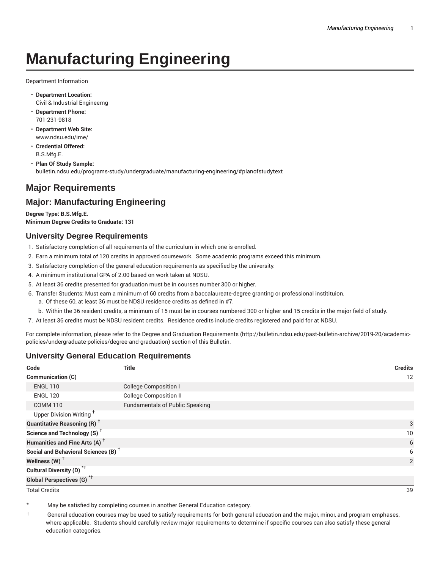# **Manufacturing Engineering**

Department Information

- **Department Location:** Civil & Industrial Engineerng
- **Department Phone:** 701-231-9818
- **Department Web Site:** www.ndsu.edu/ime/
- **Credential Offered:** B.S.Mfg.E.
- **Plan Of Study Sample:** bulletin.ndsu.edu/programs-study/undergraduate/manufacturing-engineering/#planofstudytext

# **Major Requirements**

## **Major: Manufacturing Engineering**

**Degree Type: B.S.Mfg.E. Minimum Degree Credits to Graduate: 131**

#### **University Degree Requirements**

- 1. Satisfactory completion of all requirements of the curriculum in which one is enrolled.
- 2. Earn a minimum total of 120 credits in approved coursework. Some academic programs exceed this minimum.
- 3. Satisfactory completion of the general education requirements as specified by the university.
- 4. A minimum institutional GPA of 2.00 based on work taken at NDSU.
- 5. At least 36 credits presented for graduation must be in courses number 300 or higher.
- 6. Transfer Students: Must earn a minimum of 60 credits from a baccalaureate-degree granting or professional institituion.
	- a. Of these 60, at least 36 must be NDSU residence credits as defined in #7.
	- b. Within the 36 resident credits, a minimum of 15 must be in courses numbered 300 or higher and 15 credits in the major field of study.
- 7. At least 36 credits must be NDSU resident credits. Residence credits include credits registered and paid for at NDSU.

For complete information, please refer to the Degree and Graduation Requirements (http://bulletin.ndsu.edu/past-bulletin-archive/2019-20/academicpolicies/undergraduate-policies/degree-and-graduation) section of this Bulletin.

#### **University General Education Requirements**

| Code                                            | <b>Title</b>                           | <b>Credits</b> |
|-------------------------------------------------|----------------------------------------|----------------|
| Communication (C)                               |                                        | 12             |
| <b>ENGL 110</b>                                 | <b>College Composition I</b>           |                |
| <b>ENGL 120</b>                                 | <b>College Composition II</b>          |                |
| <b>COMM 110</b>                                 | <b>Fundamentals of Public Speaking</b> |                |
| Upper Division Writing <sup>+</sup>             |                                        |                |
| <b>Quantitative Reasoning (R)</b> <sup>†</sup>  |                                        | 3              |
| Science and Technology (S) <sup>+</sup>         |                                        | 10             |
| Humanities and Fine Arts (A) <sup>+</sup>       |                                        | 6              |
| Social and Behavioral Sciences (B) <sup>+</sup> |                                        | 6              |
| Wellness $(W)$ <sup>+</sup>                     |                                        | 2              |
| Cultural Diversity (D) <sup>*†</sup>            |                                        |                |
| <b>Global Perspectives (G)<sup>*†</sup></b>     |                                        |                |

Total Credits 39

May be satisfied by completing courses in another General Education category.

† General education courses may be used to satisfy requirements for both general education and the major, minor, and program emphases, where applicable. Students should carefully review major requirements to determine if specific courses can also satisfy these general education categories.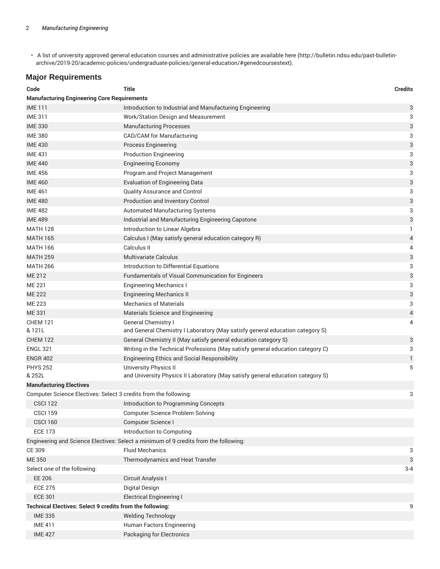• A list of university approved general education courses and administrative policies are available here (http://bulletin.ndsu.edu/past-bulletinarchive/2019-20/academic-policies/undergraduate-policies/general-education/#genedcoursestext).

## **Major Requirements**

| <b>Manufacturing Engineering Core Requirements</b><br>3<br>Introduction to Industrial and Manufacturing Engineering<br><b>IME111</b><br><b>IME 311</b><br>3<br>Work/Station Design and Measurement<br>$\ensuremath{\mathsf{3}}$<br><b>IME 330</b><br><b>Manufacturing Processes</b><br><b>IME 380</b><br>3<br>CAD/CAM for Manufacturing<br>3<br><b>IME 430</b><br><b>Process Engineering</b><br>3<br><b>IME 431</b><br><b>Production Engineering</b><br>3<br><b>IME 440</b><br><b>Engineering Economy</b><br>3<br><b>IME 456</b><br>Program and Project Management<br>3<br><b>IME 460</b><br><b>Evaluation of Engineering Data</b><br>3<br><b>IME 461</b><br>Quality Assurance and Control<br>3<br><b>IME 480</b><br>Production and Inventory Control<br>3<br><b>IME 482</b><br>Automated Manufacturing Systems<br>3<br><b>IME 489</b><br>Industrial and Manufacturing Engineering Capstone<br><b>MATH 128</b><br>Introduction to Linear Algebra<br>1<br><b>MATH 165</b><br>Calculus I (May satisfy general education category R)<br>4<br>Calculus II<br><b>MATH 166</b><br>4<br><b>Multivariate Calculus</b><br>3<br><b>MATH 259</b><br>3<br>Introduction to Differential Equations<br><b>MATH 266</b><br>3<br>ME 212<br>Fundamentals of Visual Communication for Engineers<br>3<br>ME 221<br><b>Engineering Mechanics I</b><br>3<br><b>ME 222</b><br><b>Engineering Mechanics II</b><br><b>Mechanics of Materials</b><br>3<br>ME 223<br>$\overline{4}$<br>ME 331<br>Materials Science and Engineering<br><b>CHEM 121</b><br><b>General Chemistry I</b><br>4<br>& 121L<br>and General Chemistry I Laboratory (May satisfy general education category S)<br>3<br><b>CHEM 122</b><br>General Chemistry II (May satisfy general education category S)<br><b>ENGL 321</b><br>3<br>Writing in the Technical Professions (May satisfy general education category C)<br><b>ENGR 402</b><br>Engineering Ethics and Social Responsibility<br>1<br><b>PHYS 252</b><br><b>University Physics II</b><br>5<br>& 252L<br>and University Physics II Laboratory (May satisfy general education category S)<br><b>Manufacturing Electives</b><br>Computer Science Electives: Select 3 credits from the following:<br>3<br>CSCI 122<br>Introduction to Programming Concepts<br><b>CSCI 159</b><br><b>Computer Science Problem Solving</b><br><b>CSCI 160</b><br>Computer Science I<br><b>ECE 173</b><br>Introduction to Computing<br>Engineering and Science Electives: Select a minimum of 9 credits from the following:<br>CE 309<br><b>Fluid Mechanics</b><br>3<br><b>ME 350</b><br>Thermodynamics and Heat Transfer<br>3<br>Select one of the following:<br>$3 - 4$<br><b>EE 206</b><br>Circuit Analysis I<br><b>ECE 275</b><br>Digital Design<br><b>ECE 301</b><br><b>Electrical Engineering I</b><br>Technical Electives: Select 9 credits from the following:<br>9<br><b>Welding Technology</b><br><b>IME 335</b><br>Human Factors Engineering<br><b>IME 411</b> | Code           | <b>Title</b>              | <b>Credits</b> |  |  |
|--------------------------------------------------------------------------------------------------------------------------------------------------------------------------------------------------------------------------------------------------------------------------------------------------------------------------------------------------------------------------------------------------------------------------------------------------------------------------------------------------------------------------------------------------------------------------------------------------------------------------------------------------------------------------------------------------------------------------------------------------------------------------------------------------------------------------------------------------------------------------------------------------------------------------------------------------------------------------------------------------------------------------------------------------------------------------------------------------------------------------------------------------------------------------------------------------------------------------------------------------------------------------------------------------------------------------------------------------------------------------------------------------------------------------------------------------------------------------------------------------------------------------------------------------------------------------------------------------------------------------------------------------------------------------------------------------------------------------------------------------------------------------------------------------------------------------------------------------------------------------------------------------------------------------------------------------------------------------------------------------------------------------------------------------------------------------------------------------------------------------------------------------------------------------------------------------------------------------------------------------------------------------------------------------------------------------------------------------------------------------------------------------------------------------------------------------------------------------------------------------------------------------------------------------------------------------------------------------------------------------------------------------------------------------------------------------------------------------------------------------------------------------------------------------------------------------------------------------------------------------------------------------------------------------------------------------------|----------------|---------------------------|----------------|--|--|
|                                                                                                                                                                                                                                                                                                                                                                                                                                                                                                                                                                                                                                                                                                                                                                                                                                                                                                                                                                                                                                                                                                                                                                                                                                                                                                                                                                                                                                                                                                                                                                                                                                                                                                                                                                                                                                                                                                                                                                                                                                                                                                                                                                                                                                                                                                                                                                                                                                                                                                                                                                                                                                                                                                                                                                                                                                                                                                                                                        |                |                           |                |  |  |
|                                                                                                                                                                                                                                                                                                                                                                                                                                                                                                                                                                                                                                                                                                                                                                                                                                                                                                                                                                                                                                                                                                                                                                                                                                                                                                                                                                                                                                                                                                                                                                                                                                                                                                                                                                                                                                                                                                                                                                                                                                                                                                                                                                                                                                                                                                                                                                                                                                                                                                                                                                                                                                                                                                                                                                                                                                                                                                                                                        |                |                           |                |  |  |
|                                                                                                                                                                                                                                                                                                                                                                                                                                                                                                                                                                                                                                                                                                                                                                                                                                                                                                                                                                                                                                                                                                                                                                                                                                                                                                                                                                                                                                                                                                                                                                                                                                                                                                                                                                                                                                                                                                                                                                                                                                                                                                                                                                                                                                                                                                                                                                                                                                                                                                                                                                                                                                                                                                                                                                                                                                                                                                                                                        |                |                           |                |  |  |
|                                                                                                                                                                                                                                                                                                                                                                                                                                                                                                                                                                                                                                                                                                                                                                                                                                                                                                                                                                                                                                                                                                                                                                                                                                                                                                                                                                                                                                                                                                                                                                                                                                                                                                                                                                                                                                                                                                                                                                                                                                                                                                                                                                                                                                                                                                                                                                                                                                                                                                                                                                                                                                                                                                                                                                                                                                                                                                                                                        |                |                           |                |  |  |
|                                                                                                                                                                                                                                                                                                                                                                                                                                                                                                                                                                                                                                                                                                                                                                                                                                                                                                                                                                                                                                                                                                                                                                                                                                                                                                                                                                                                                                                                                                                                                                                                                                                                                                                                                                                                                                                                                                                                                                                                                                                                                                                                                                                                                                                                                                                                                                                                                                                                                                                                                                                                                                                                                                                                                                                                                                                                                                                                                        |                |                           |                |  |  |
|                                                                                                                                                                                                                                                                                                                                                                                                                                                                                                                                                                                                                                                                                                                                                                                                                                                                                                                                                                                                                                                                                                                                                                                                                                                                                                                                                                                                                                                                                                                                                                                                                                                                                                                                                                                                                                                                                                                                                                                                                                                                                                                                                                                                                                                                                                                                                                                                                                                                                                                                                                                                                                                                                                                                                                                                                                                                                                                                                        |                |                           |                |  |  |
|                                                                                                                                                                                                                                                                                                                                                                                                                                                                                                                                                                                                                                                                                                                                                                                                                                                                                                                                                                                                                                                                                                                                                                                                                                                                                                                                                                                                                                                                                                                                                                                                                                                                                                                                                                                                                                                                                                                                                                                                                                                                                                                                                                                                                                                                                                                                                                                                                                                                                                                                                                                                                                                                                                                                                                                                                                                                                                                                                        |                |                           |                |  |  |
|                                                                                                                                                                                                                                                                                                                                                                                                                                                                                                                                                                                                                                                                                                                                                                                                                                                                                                                                                                                                                                                                                                                                                                                                                                                                                                                                                                                                                                                                                                                                                                                                                                                                                                                                                                                                                                                                                                                                                                                                                                                                                                                                                                                                                                                                                                                                                                                                                                                                                                                                                                                                                                                                                                                                                                                                                                                                                                                                                        |                |                           |                |  |  |
|                                                                                                                                                                                                                                                                                                                                                                                                                                                                                                                                                                                                                                                                                                                                                                                                                                                                                                                                                                                                                                                                                                                                                                                                                                                                                                                                                                                                                                                                                                                                                                                                                                                                                                                                                                                                                                                                                                                                                                                                                                                                                                                                                                                                                                                                                                                                                                                                                                                                                                                                                                                                                                                                                                                                                                                                                                                                                                                                                        |                |                           |                |  |  |
|                                                                                                                                                                                                                                                                                                                                                                                                                                                                                                                                                                                                                                                                                                                                                                                                                                                                                                                                                                                                                                                                                                                                                                                                                                                                                                                                                                                                                                                                                                                                                                                                                                                                                                                                                                                                                                                                                                                                                                                                                                                                                                                                                                                                                                                                                                                                                                                                                                                                                                                                                                                                                                                                                                                                                                                                                                                                                                                                                        |                |                           |                |  |  |
|                                                                                                                                                                                                                                                                                                                                                                                                                                                                                                                                                                                                                                                                                                                                                                                                                                                                                                                                                                                                                                                                                                                                                                                                                                                                                                                                                                                                                                                                                                                                                                                                                                                                                                                                                                                                                                                                                                                                                                                                                                                                                                                                                                                                                                                                                                                                                                                                                                                                                                                                                                                                                                                                                                                                                                                                                                                                                                                                                        |                |                           |                |  |  |
|                                                                                                                                                                                                                                                                                                                                                                                                                                                                                                                                                                                                                                                                                                                                                                                                                                                                                                                                                                                                                                                                                                                                                                                                                                                                                                                                                                                                                                                                                                                                                                                                                                                                                                                                                                                                                                                                                                                                                                                                                                                                                                                                                                                                                                                                                                                                                                                                                                                                                                                                                                                                                                                                                                                                                                                                                                                                                                                                                        |                |                           |                |  |  |
|                                                                                                                                                                                                                                                                                                                                                                                                                                                                                                                                                                                                                                                                                                                                                                                                                                                                                                                                                                                                                                                                                                                                                                                                                                                                                                                                                                                                                                                                                                                                                                                                                                                                                                                                                                                                                                                                                                                                                                                                                                                                                                                                                                                                                                                                                                                                                                                                                                                                                                                                                                                                                                                                                                                                                                                                                                                                                                                                                        |                |                           |                |  |  |
|                                                                                                                                                                                                                                                                                                                                                                                                                                                                                                                                                                                                                                                                                                                                                                                                                                                                                                                                                                                                                                                                                                                                                                                                                                                                                                                                                                                                                                                                                                                                                                                                                                                                                                                                                                                                                                                                                                                                                                                                                                                                                                                                                                                                                                                                                                                                                                                                                                                                                                                                                                                                                                                                                                                                                                                                                                                                                                                                                        |                |                           |                |  |  |
|                                                                                                                                                                                                                                                                                                                                                                                                                                                                                                                                                                                                                                                                                                                                                                                                                                                                                                                                                                                                                                                                                                                                                                                                                                                                                                                                                                                                                                                                                                                                                                                                                                                                                                                                                                                                                                                                                                                                                                                                                                                                                                                                                                                                                                                                                                                                                                                                                                                                                                                                                                                                                                                                                                                                                                                                                                                                                                                                                        |                |                           |                |  |  |
|                                                                                                                                                                                                                                                                                                                                                                                                                                                                                                                                                                                                                                                                                                                                                                                                                                                                                                                                                                                                                                                                                                                                                                                                                                                                                                                                                                                                                                                                                                                                                                                                                                                                                                                                                                                                                                                                                                                                                                                                                                                                                                                                                                                                                                                                                                                                                                                                                                                                                                                                                                                                                                                                                                                                                                                                                                                                                                                                                        |                |                           |                |  |  |
|                                                                                                                                                                                                                                                                                                                                                                                                                                                                                                                                                                                                                                                                                                                                                                                                                                                                                                                                                                                                                                                                                                                                                                                                                                                                                                                                                                                                                                                                                                                                                                                                                                                                                                                                                                                                                                                                                                                                                                                                                                                                                                                                                                                                                                                                                                                                                                                                                                                                                                                                                                                                                                                                                                                                                                                                                                                                                                                                                        |                |                           |                |  |  |
|                                                                                                                                                                                                                                                                                                                                                                                                                                                                                                                                                                                                                                                                                                                                                                                                                                                                                                                                                                                                                                                                                                                                                                                                                                                                                                                                                                                                                                                                                                                                                                                                                                                                                                                                                                                                                                                                                                                                                                                                                                                                                                                                                                                                                                                                                                                                                                                                                                                                                                                                                                                                                                                                                                                                                                                                                                                                                                                                                        |                |                           |                |  |  |
|                                                                                                                                                                                                                                                                                                                                                                                                                                                                                                                                                                                                                                                                                                                                                                                                                                                                                                                                                                                                                                                                                                                                                                                                                                                                                                                                                                                                                                                                                                                                                                                                                                                                                                                                                                                                                                                                                                                                                                                                                                                                                                                                                                                                                                                                                                                                                                                                                                                                                                                                                                                                                                                                                                                                                                                                                                                                                                                                                        |                |                           |                |  |  |
|                                                                                                                                                                                                                                                                                                                                                                                                                                                                                                                                                                                                                                                                                                                                                                                                                                                                                                                                                                                                                                                                                                                                                                                                                                                                                                                                                                                                                                                                                                                                                                                                                                                                                                                                                                                                                                                                                                                                                                                                                                                                                                                                                                                                                                                                                                                                                                                                                                                                                                                                                                                                                                                                                                                                                                                                                                                                                                                                                        |                |                           |                |  |  |
|                                                                                                                                                                                                                                                                                                                                                                                                                                                                                                                                                                                                                                                                                                                                                                                                                                                                                                                                                                                                                                                                                                                                                                                                                                                                                                                                                                                                                                                                                                                                                                                                                                                                                                                                                                                                                                                                                                                                                                                                                                                                                                                                                                                                                                                                                                                                                                                                                                                                                                                                                                                                                                                                                                                                                                                                                                                                                                                                                        |                |                           |                |  |  |
|                                                                                                                                                                                                                                                                                                                                                                                                                                                                                                                                                                                                                                                                                                                                                                                                                                                                                                                                                                                                                                                                                                                                                                                                                                                                                                                                                                                                                                                                                                                                                                                                                                                                                                                                                                                                                                                                                                                                                                                                                                                                                                                                                                                                                                                                                                                                                                                                                                                                                                                                                                                                                                                                                                                                                                                                                                                                                                                                                        |                |                           |                |  |  |
|                                                                                                                                                                                                                                                                                                                                                                                                                                                                                                                                                                                                                                                                                                                                                                                                                                                                                                                                                                                                                                                                                                                                                                                                                                                                                                                                                                                                                                                                                                                                                                                                                                                                                                                                                                                                                                                                                                                                                                                                                                                                                                                                                                                                                                                                                                                                                                                                                                                                                                                                                                                                                                                                                                                                                                                                                                                                                                                                                        |                |                           |                |  |  |
|                                                                                                                                                                                                                                                                                                                                                                                                                                                                                                                                                                                                                                                                                                                                                                                                                                                                                                                                                                                                                                                                                                                                                                                                                                                                                                                                                                                                                                                                                                                                                                                                                                                                                                                                                                                                                                                                                                                                                                                                                                                                                                                                                                                                                                                                                                                                                                                                                                                                                                                                                                                                                                                                                                                                                                                                                                                                                                                                                        |                |                           |                |  |  |
|                                                                                                                                                                                                                                                                                                                                                                                                                                                                                                                                                                                                                                                                                                                                                                                                                                                                                                                                                                                                                                                                                                                                                                                                                                                                                                                                                                                                                                                                                                                                                                                                                                                                                                                                                                                                                                                                                                                                                                                                                                                                                                                                                                                                                                                                                                                                                                                                                                                                                                                                                                                                                                                                                                                                                                                                                                                                                                                                                        |                |                           |                |  |  |
|                                                                                                                                                                                                                                                                                                                                                                                                                                                                                                                                                                                                                                                                                                                                                                                                                                                                                                                                                                                                                                                                                                                                                                                                                                                                                                                                                                                                                                                                                                                                                                                                                                                                                                                                                                                                                                                                                                                                                                                                                                                                                                                                                                                                                                                                                                                                                                                                                                                                                                                                                                                                                                                                                                                                                                                                                                                                                                                                                        |                |                           |                |  |  |
|                                                                                                                                                                                                                                                                                                                                                                                                                                                                                                                                                                                                                                                                                                                                                                                                                                                                                                                                                                                                                                                                                                                                                                                                                                                                                                                                                                                                                                                                                                                                                                                                                                                                                                                                                                                                                                                                                                                                                                                                                                                                                                                                                                                                                                                                                                                                                                                                                                                                                                                                                                                                                                                                                                                                                                                                                                                                                                                                                        |                |                           |                |  |  |
|                                                                                                                                                                                                                                                                                                                                                                                                                                                                                                                                                                                                                                                                                                                                                                                                                                                                                                                                                                                                                                                                                                                                                                                                                                                                                                                                                                                                                                                                                                                                                                                                                                                                                                                                                                                                                                                                                                                                                                                                                                                                                                                                                                                                                                                                                                                                                                                                                                                                                                                                                                                                                                                                                                                                                                                                                                                                                                                                                        |                |                           |                |  |  |
|                                                                                                                                                                                                                                                                                                                                                                                                                                                                                                                                                                                                                                                                                                                                                                                                                                                                                                                                                                                                                                                                                                                                                                                                                                                                                                                                                                                                                                                                                                                                                                                                                                                                                                                                                                                                                                                                                                                                                                                                                                                                                                                                                                                                                                                                                                                                                                                                                                                                                                                                                                                                                                                                                                                                                                                                                                                                                                                                                        |                |                           |                |  |  |
|                                                                                                                                                                                                                                                                                                                                                                                                                                                                                                                                                                                                                                                                                                                                                                                                                                                                                                                                                                                                                                                                                                                                                                                                                                                                                                                                                                                                                                                                                                                                                                                                                                                                                                                                                                                                                                                                                                                                                                                                                                                                                                                                                                                                                                                                                                                                                                                                                                                                                                                                                                                                                                                                                                                                                                                                                                                                                                                                                        |                |                           |                |  |  |
|                                                                                                                                                                                                                                                                                                                                                                                                                                                                                                                                                                                                                                                                                                                                                                                                                                                                                                                                                                                                                                                                                                                                                                                                                                                                                                                                                                                                                                                                                                                                                                                                                                                                                                                                                                                                                                                                                                                                                                                                                                                                                                                                                                                                                                                                                                                                                                                                                                                                                                                                                                                                                                                                                                                                                                                                                                                                                                                                                        |                |                           |                |  |  |
|                                                                                                                                                                                                                                                                                                                                                                                                                                                                                                                                                                                                                                                                                                                                                                                                                                                                                                                                                                                                                                                                                                                                                                                                                                                                                                                                                                                                                                                                                                                                                                                                                                                                                                                                                                                                                                                                                                                                                                                                                                                                                                                                                                                                                                                                                                                                                                                                                                                                                                                                                                                                                                                                                                                                                                                                                                                                                                                                                        |                |                           |                |  |  |
|                                                                                                                                                                                                                                                                                                                                                                                                                                                                                                                                                                                                                                                                                                                                                                                                                                                                                                                                                                                                                                                                                                                                                                                                                                                                                                                                                                                                                                                                                                                                                                                                                                                                                                                                                                                                                                                                                                                                                                                                                                                                                                                                                                                                                                                                                                                                                                                                                                                                                                                                                                                                                                                                                                                                                                                                                                                                                                                                                        |                |                           |                |  |  |
|                                                                                                                                                                                                                                                                                                                                                                                                                                                                                                                                                                                                                                                                                                                                                                                                                                                                                                                                                                                                                                                                                                                                                                                                                                                                                                                                                                                                                                                                                                                                                                                                                                                                                                                                                                                                                                                                                                                                                                                                                                                                                                                                                                                                                                                                                                                                                                                                                                                                                                                                                                                                                                                                                                                                                                                                                                                                                                                                                        |                |                           |                |  |  |
|                                                                                                                                                                                                                                                                                                                                                                                                                                                                                                                                                                                                                                                                                                                                                                                                                                                                                                                                                                                                                                                                                                                                                                                                                                                                                                                                                                                                                                                                                                                                                                                                                                                                                                                                                                                                                                                                                                                                                                                                                                                                                                                                                                                                                                                                                                                                                                                                                                                                                                                                                                                                                                                                                                                                                                                                                                                                                                                                                        |                |                           |                |  |  |
|                                                                                                                                                                                                                                                                                                                                                                                                                                                                                                                                                                                                                                                                                                                                                                                                                                                                                                                                                                                                                                                                                                                                                                                                                                                                                                                                                                                                                                                                                                                                                                                                                                                                                                                                                                                                                                                                                                                                                                                                                                                                                                                                                                                                                                                                                                                                                                                                                                                                                                                                                                                                                                                                                                                                                                                                                                                                                                                                                        |                |                           |                |  |  |
|                                                                                                                                                                                                                                                                                                                                                                                                                                                                                                                                                                                                                                                                                                                                                                                                                                                                                                                                                                                                                                                                                                                                                                                                                                                                                                                                                                                                                                                                                                                                                                                                                                                                                                                                                                                                                                                                                                                                                                                                                                                                                                                                                                                                                                                                                                                                                                                                                                                                                                                                                                                                                                                                                                                                                                                                                                                                                                                                                        |                |                           |                |  |  |
|                                                                                                                                                                                                                                                                                                                                                                                                                                                                                                                                                                                                                                                                                                                                                                                                                                                                                                                                                                                                                                                                                                                                                                                                                                                                                                                                                                                                                                                                                                                                                                                                                                                                                                                                                                                                                                                                                                                                                                                                                                                                                                                                                                                                                                                                                                                                                                                                                                                                                                                                                                                                                                                                                                                                                                                                                                                                                                                                                        |                |                           |                |  |  |
|                                                                                                                                                                                                                                                                                                                                                                                                                                                                                                                                                                                                                                                                                                                                                                                                                                                                                                                                                                                                                                                                                                                                                                                                                                                                                                                                                                                                                                                                                                                                                                                                                                                                                                                                                                                                                                                                                                                                                                                                                                                                                                                                                                                                                                                                                                                                                                                                                                                                                                                                                                                                                                                                                                                                                                                                                                                                                                                                                        |                |                           |                |  |  |
|                                                                                                                                                                                                                                                                                                                                                                                                                                                                                                                                                                                                                                                                                                                                                                                                                                                                                                                                                                                                                                                                                                                                                                                                                                                                                                                                                                                                                                                                                                                                                                                                                                                                                                                                                                                                                                                                                                                                                                                                                                                                                                                                                                                                                                                                                                                                                                                                                                                                                                                                                                                                                                                                                                                                                                                                                                                                                                                                                        |                |                           |                |  |  |
|                                                                                                                                                                                                                                                                                                                                                                                                                                                                                                                                                                                                                                                                                                                                                                                                                                                                                                                                                                                                                                                                                                                                                                                                                                                                                                                                                                                                                                                                                                                                                                                                                                                                                                                                                                                                                                                                                                                                                                                                                                                                                                                                                                                                                                                                                                                                                                                                                                                                                                                                                                                                                                                                                                                                                                                                                                                                                                                                                        |                |                           |                |  |  |
|                                                                                                                                                                                                                                                                                                                                                                                                                                                                                                                                                                                                                                                                                                                                                                                                                                                                                                                                                                                                                                                                                                                                                                                                                                                                                                                                                                                                                                                                                                                                                                                                                                                                                                                                                                                                                                                                                                                                                                                                                                                                                                                                                                                                                                                                                                                                                                                                                                                                                                                                                                                                                                                                                                                                                                                                                                                                                                                                                        |                |                           |                |  |  |
|                                                                                                                                                                                                                                                                                                                                                                                                                                                                                                                                                                                                                                                                                                                                                                                                                                                                                                                                                                                                                                                                                                                                                                                                                                                                                                                                                                                                                                                                                                                                                                                                                                                                                                                                                                                                                                                                                                                                                                                                                                                                                                                                                                                                                                                                                                                                                                                                                                                                                                                                                                                                                                                                                                                                                                                                                                                                                                                                                        |                |                           |                |  |  |
|                                                                                                                                                                                                                                                                                                                                                                                                                                                                                                                                                                                                                                                                                                                                                                                                                                                                                                                                                                                                                                                                                                                                                                                                                                                                                                                                                                                                                                                                                                                                                                                                                                                                                                                                                                                                                                                                                                                                                                                                                                                                                                                                                                                                                                                                                                                                                                                                                                                                                                                                                                                                                                                                                                                                                                                                                                                                                                                                                        |                |                           |                |  |  |
|                                                                                                                                                                                                                                                                                                                                                                                                                                                                                                                                                                                                                                                                                                                                                                                                                                                                                                                                                                                                                                                                                                                                                                                                                                                                                                                                                                                                                                                                                                                                                                                                                                                                                                                                                                                                                                                                                                                                                                                                                                                                                                                                                                                                                                                                                                                                                                                                                                                                                                                                                                                                                                                                                                                                                                                                                                                                                                                                                        |                |                           |                |  |  |
|                                                                                                                                                                                                                                                                                                                                                                                                                                                                                                                                                                                                                                                                                                                                                                                                                                                                                                                                                                                                                                                                                                                                                                                                                                                                                                                                                                                                                                                                                                                                                                                                                                                                                                                                                                                                                                                                                                                                                                                                                                                                                                                                                                                                                                                                                                                                                                                                                                                                                                                                                                                                                                                                                                                                                                                                                                                                                                                                                        |                |                           |                |  |  |
|                                                                                                                                                                                                                                                                                                                                                                                                                                                                                                                                                                                                                                                                                                                                                                                                                                                                                                                                                                                                                                                                                                                                                                                                                                                                                                                                                                                                                                                                                                                                                                                                                                                                                                                                                                                                                                                                                                                                                                                                                                                                                                                                                                                                                                                                                                                                                                                                                                                                                                                                                                                                                                                                                                                                                                                                                                                                                                                                                        | <b>IME 427</b> | Packaging for Electronics |                |  |  |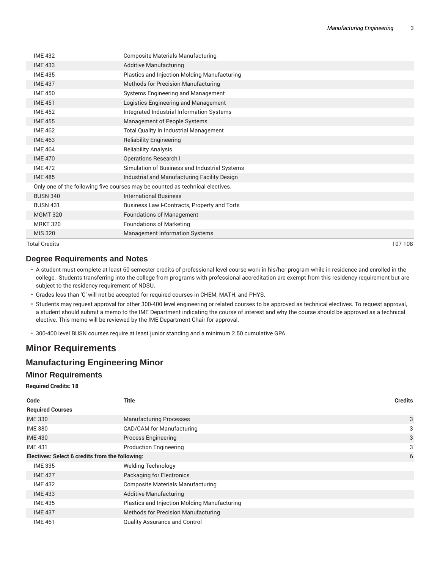| <b>Total Credits</b> |                                                                               | 107-108 |
|----------------------|-------------------------------------------------------------------------------|---------|
| <b>MIS 320</b>       | <b>Management Information Systems</b>                                         |         |
| <b>MRKT 320</b>      | <b>Foundations of Marketing</b>                                               |         |
| <b>MGMT 320</b>      | <b>Foundations of Management</b>                                              |         |
| <b>BUSN 431</b>      | Business Law I-Contracts, Property and Torts                                  |         |
| <b>BUSN 340</b>      | <b>International Business</b>                                                 |         |
|                      | Only one of the following five courses may be counted as technical electives. |         |
| <b>IME 485</b>       | Industrial and Manufacturing Facility Design                                  |         |
| <b>IME 472</b>       | Simulation of Business and Industrial Systems                                 |         |
| <b>IME 470</b>       | <b>Operations Research I</b>                                                  |         |
| <b>IME 464</b>       | <b>Reliability Analysis</b>                                                   |         |
| <b>IME 463</b>       | <b>Reliability Engineering</b>                                                |         |
| <b>IME 462</b>       | Total Quality In Industrial Management                                        |         |
| <b>IME 455</b>       | Management of People Systems                                                  |         |
| <b>IME 452</b>       | Integrated Industrial Information Systems                                     |         |
| <b>IME 451</b>       | Logistics Engineering and Management                                          |         |
| <b>IME 450</b>       | Systems Engineering and Management                                            |         |
| <b>IME 437</b>       | Methods for Precision Manufacturing                                           |         |
| <b>IME 435</b>       | Plastics and Injection Molding Manufacturing                                  |         |
| <b>IME 433</b>       | <b>Additive Manufacturing</b>                                                 |         |
| <b>IME 432</b>       | <b>Composite Materials Manufacturing</b>                                      |         |
|                      |                                                                               |         |

#### **Degree Requirements and Notes**

- A student must complete at least 60 semester credits of professional level course work in his/her program while in residence and enrolled in the college. Students transferring into the college from programs with professional accreditation are exempt from this residency requirement but are subject to the residency requirement of NDSU.
- Grades less than 'C' will not be accepted for required courses in CHEM, MATH, and PHYS.
- Students may request approval for other 300-400 level engineering or related courses to be approved as technical electives. To request approval, a student should submit a memo to the IME Department indicating the course of interest and why the course should be approved as a technical elective. This memo will be reviewed by the IME Department Chair for approval.

• 300-400 level BUSN courses require at least junior standing and a minimum 2.50 cumulative GPA.

# **Minor Requirements**

## **Manufacturing Engineering Minor**

#### **Minor Requirements**

**Required Credits: 18**

| Code                                            | Title                                        | <b>Credits</b> |
|-------------------------------------------------|----------------------------------------------|----------------|
| <b>Required Courses</b>                         |                                              |                |
| <b>IME 330</b>                                  | <b>Manufacturing Processes</b>               | 3              |
| <b>IME 380</b>                                  | CAD/CAM for Manufacturing                    | 3              |
| <b>IME 430</b>                                  | <b>Process Engineering</b>                   | 3              |
| <b>IME 431</b>                                  | <b>Production Engineering</b>                | 3              |
| Electives: Select 6 credits from the following: |                                              | 6              |
| <b>IME 335</b>                                  | <b>Welding Technology</b>                    |                |
| <b>IME 427</b>                                  | Packaging for Electronics                    |                |
| <b>IME 432</b>                                  | <b>Composite Materials Manufacturing</b>     |                |
| <b>IME 433</b>                                  | <b>Additive Manufacturing</b>                |                |
| <b>IME 435</b>                                  | Plastics and Injection Molding Manufacturing |                |
| <b>IME 437</b>                                  | <b>Methods for Precision Manufacturing</b>   |                |
| <b>IME 461</b>                                  | <b>Quality Assurance and Control</b>         |                |